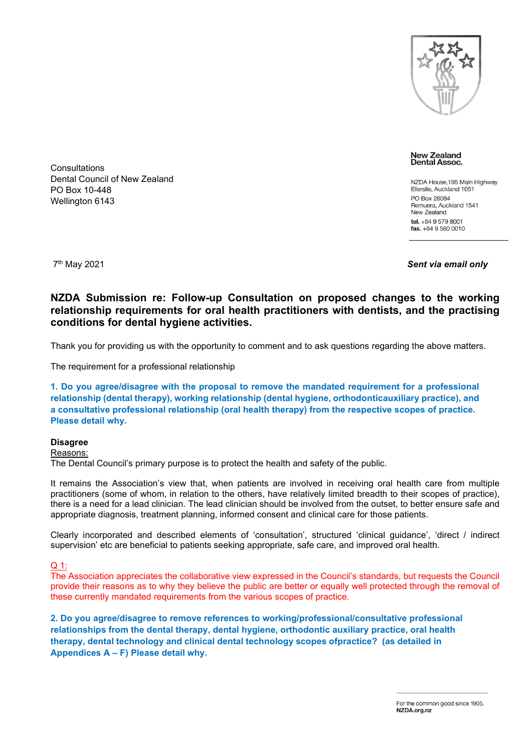

**New Zealand** Dental Assoc.

NZDA House, 195 Main Highway Ellerslie, Auckland 1051 PO Box 28084 Remuera, Auckland 1541 New Zealand tel.  $+6495798001$  $\frac{1}{2}$  fax. +64 9 580 0010

**Consultations** 

PO Box 10-448 Wellington 6143

Dental Council of New Zealand

7th May 2021 *Sent via email only*

**NZDA Submission re: Follow-up Consultation on proposed changes to the working relationship requirements for oral health practitioners with dentists, and the practising conditions for dental hygiene activities.**

Thank you for providing us with the opportunity to comment and to ask questions regarding the above matters.

The requirement for a professional relationship

**1. Do you agree/disagree with the proposal to remove the mandated requirement for a professional relationship (dental therapy), working relationship (dental hygiene, orthodonticauxiliary practice), and a consultative professional relationship (oral health therapy) from the respective scopes of practice. Please detail why.**

# **Disagree**

#### Reasons:

The Dental Council's primary purpose is to protect the health and safety of the public.

It remains the Association's view that, when patients are involved in receiving oral health care from multiple practitioners (some of whom, in relation to the others, have relatively limited breadth to their scopes of practice), there is a need for a lead clinician. The lead clinician should be involved from the outset, to better ensure safe and appropriate diagnosis, treatment planning, informed consent and clinical care for those patients.

Clearly incorporated and described elements of 'consultation', structured 'clinical guidance', 'direct / indirect supervision' etc are beneficial to patients seeking appropriate, safe care, and improved oral health.

## Q 1:

The Association appreciates the collaborative view expressed in the Council's standards, but requests the Council provide their reasons as to why they believe the public are better or equally well protected through the removal of these currently mandated requirements from the various scopes of practice.

**2. Do you agree/disagree to remove references to working/professional/consultative professional relationships from the dental therapy, dental hygiene, orthodontic auxiliary practice, oral health therapy, dental technology and clinical dental technology scopes ofpractice? (as detailed in Appendices A – F) Please detail why.**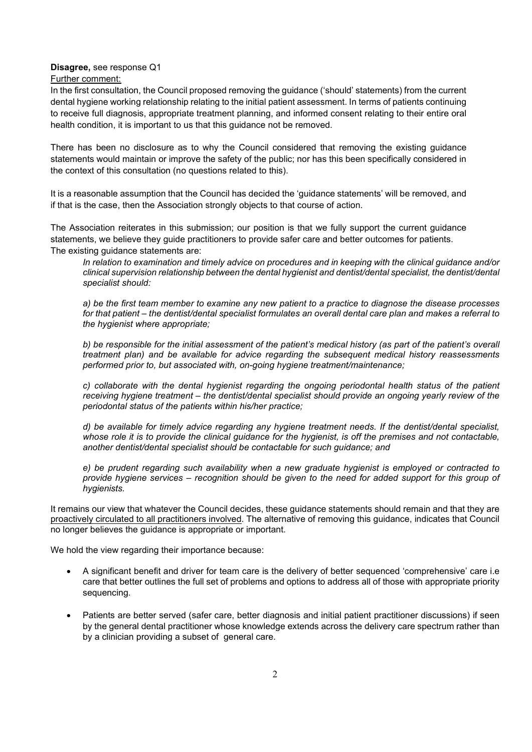## **Disagree,** see response Q1

Further comment:

In the first consultation, the Council proposed removing the guidance ('should' statements) from the current dental hygiene working relationship relating to the initial patient assessment. In terms of patients continuing to receive full diagnosis, appropriate treatment planning, and informed consent relating to their entire oral health condition, it is important to us that this guidance not be removed.

There has been no disclosure as to why the Council considered that removing the existing guidance statements would maintain or improve the safety of the public; nor has this been specifically considered in the context of this consultation (no questions related to this).

It is a reasonable assumption that the Council has decided the 'guidance statements' will be removed, and if that is the case, then the Association strongly objects to that course of action.

The Association reiterates in this submission; our position is that we fully support the current guidance statements, we believe they guide practitioners to provide safer care and better outcomes for patients. The existing guidance statements are:

*In relation to examination and timely advice on procedures and in keeping with the clinical guidance and/or clinical supervision relationship between the dental hygienist and dentist/dental specialist, the dentist/dental specialist should:* 

*a) be the first team member to examine any new patient to a practice to diagnose the disease processes for that patient – the dentist/dental specialist formulates an overall dental care plan and makes a referral to the hygienist where appropriate;* 

*b) be responsible for the initial assessment of the patient's medical history (as part of the patient's overall treatment plan) and be available for advice regarding the subsequent medical history reassessments performed prior to, but associated with, on-going hygiene treatment/maintenance;* 

*c) collaborate with the dental hygienist regarding the ongoing periodontal health status of the patient receiving hygiene treatment – the dentist/dental specialist should provide an ongoing yearly review of the periodontal status of the patients within his/her practice;* 

*d) be available for timely advice regarding any hygiene treatment needs. If the dentist/dental specialist,*  whose role it is to provide the clinical quidance for the hygienist, is off the premises and not contactable, *another dentist/dental specialist should be contactable for such guidance; and* 

*e) be prudent regarding such availability when a new graduate hygienist is employed or contracted to provide hygiene services – recognition should be given to the need for added support for this group of hygienists.*

It remains our view that whatever the Council decides, these guidance statements should remain and that they are proactively circulated to all practitioners involved. The alternative of removing this guidance, indicates that Council no longer believes the guidance is appropriate or important.

We hold the view regarding their importance because:

- A significant benefit and driver for team care is the delivery of better sequenced 'comprehensive' care i.e care that better outlines the full set of problems and options to address all of those with appropriate priority sequencing.
- Patients are better served (safer care, better diagnosis and initial patient practitioner discussions) if seen by the general dental practitioner whose knowledge extends across the delivery care spectrum rather than by a clinician providing a subset of general care.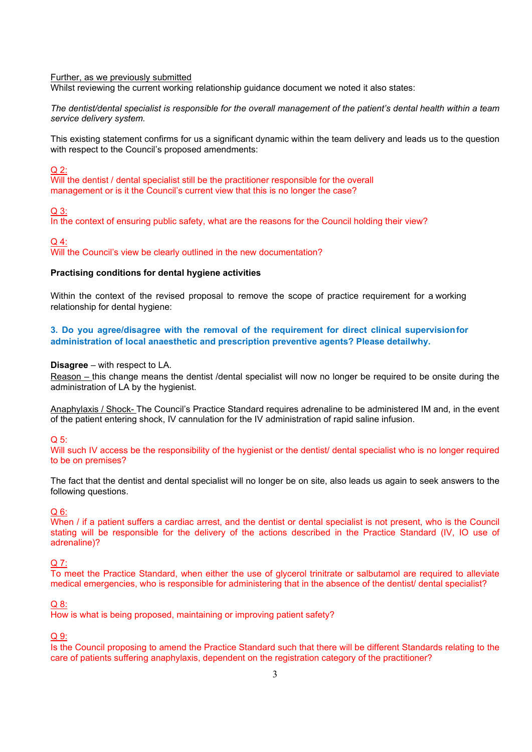#### Further, as we previously submitted

Whilst reviewing the current working relationship guidance document we noted it also states:

*The dentist/dental specialist is responsible for the overall management of the patient's dental health within a team service delivery system.*

This existing statement confirms for us a significant dynamic within the team delivery and leads us to the question with respect to the Council's proposed amendments:

Q 2:

Will the dentist / dental specialist still be the practitioner responsible for the overall management or is it the Council's current view that this is no longer the case?

Q 3:

In the context of ensuring public safety, what are the reasons for the Council holding their view?

Q 4:

Will the Council's view be clearly outlined in the new documentation?

## **Practising conditions for dental hygiene activities**

Within the context of the revised proposal to remove the scope of practice requirement for a working relationship for dental hygiene:

**3. Do you agree/disagree with the removal of the requirement for direct clinical supervision for administration of local anaesthetic and prescription preventive agents? Please detail why.**

## **Disagree** – with respect to LA.

Reason – this change means the dentist /dental specialist will now no longer be required to be onsite during the administration of LA by the hygienist.

Anaphylaxis / Shock- The Council's Practice Standard requires adrenaline to be administered IM and, in the event of the patient entering shock, IV cannulation for the IV administration of rapid saline infusion.

Q 5:

Will such IV access be the responsibility of the hygienist or the dentist/ dental specialist who is no longer required to be on premises?

The fact that the dentist and dental specialist will no longer be on site, also leads us again to seek answers to the following questions.

Q 6:

When / if a patient suffers a cardiac arrest, and the dentist or dental specialist is not present, who is the Council stating will be responsible for the delivery of the actions described in the Practice Standard (IV, IO use of adrenaline)?

#### Q 7:

To meet the Practice Standard, when either the use of glycerol trinitrate or salbutamol are required to alleviate medical emergencies, who is responsible for administering that in the absence of the dentist/ dental specialist?

#### Q 8:

How is what is being proposed, maintaining or improving patient safety?

Q 9:

Is the Council proposing to amend the Practice Standard such that there will be different Standards relating to the care of patients suffering anaphylaxis, dependent on the registration category of the practitioner?